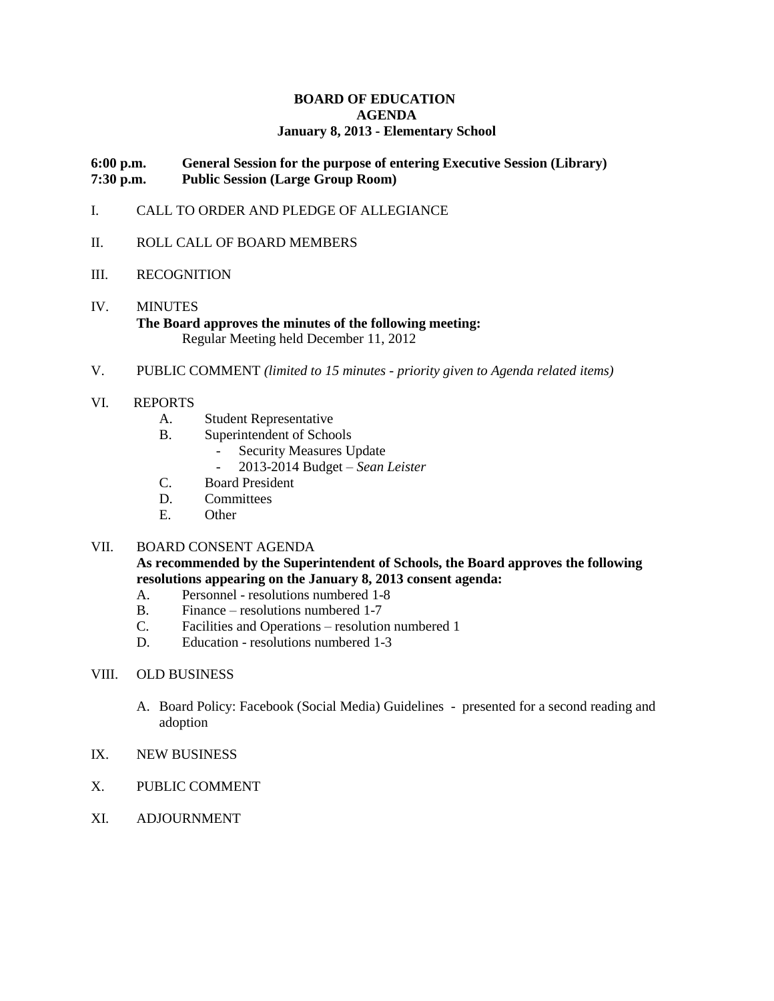#### **BOARD OF EDUCATION AGENDA January 8, 2013 - Elementary School**

#### **6:00 p.m. General Session for the purpose of entering Executive Session (Library) 7:30 p.m. Public Session (Large Group Room)**

- I. CALL TO ORDER AND PLEDGE OF ALLEGIANCE
- II. ROLL CALL OF BOARD MEMBERS
- III. RECOGNITION
- IV. MINUTES **The Board approves the minutes of the following meeting:** Regular Meeting held December 11, 2012
- V. PUBLIC COMMENT *(limited to 15 minutes - priority given to Agenda related items)*
- VI. REPORTS
	- A. Student Representative
	- B. Superintendent of Schools
		- Security Measures Update<br>- 2013-2014 Budget Sean
		- 2013-2014 Budget *Sean Leister*
	- C. Board President
	- D. Committees
	- E. Other

#### VII. BOARD CONSENT AGENDA

### **As recommended by the Superintendent of Schools, the Board approves the following resolutions appearing on the January 8, 2013 consent agenda:**

- A. Personnel resolutions numbered 1-8
- B. Finance resolutions numbered 1-7
- C. Facilities and Operations resolution numbered 1
- D. Education resolutions numbered 1-3

#### VIII. OLD BUSINESS

- A. Board Policy: Facebook (Social Media) Guidelines presented for a second reading and adoption
- IX. NEW BUSINESS
- X. PUBLIC COMMENT
- XI. ADJOURNMENT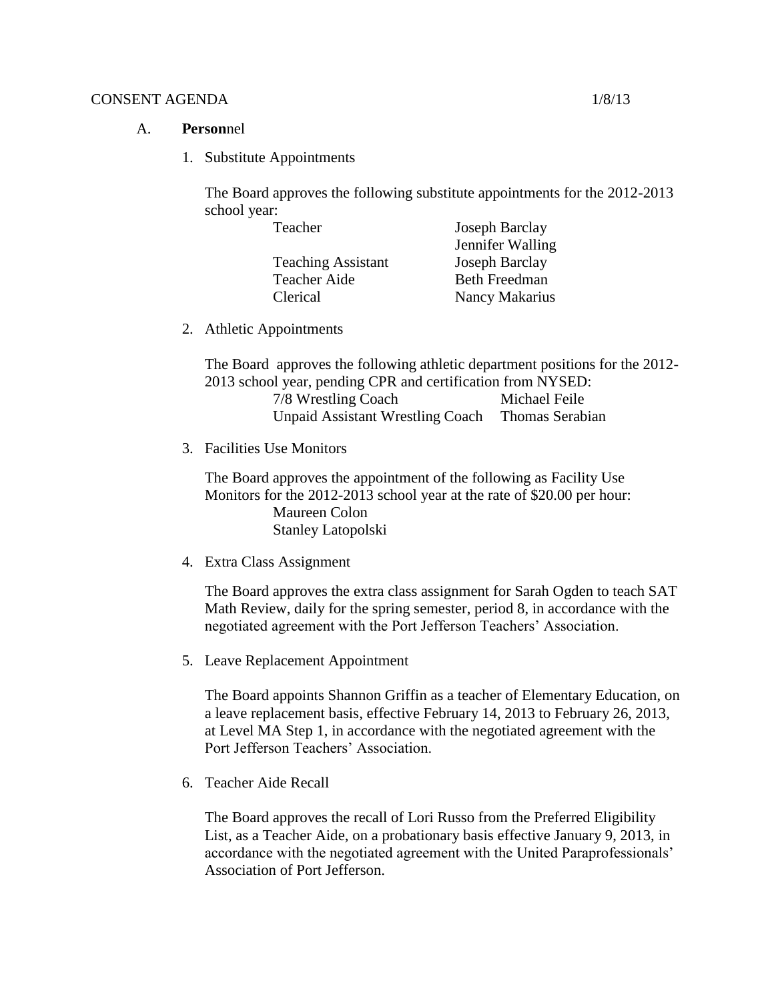### CONSENT AGENDA 1/8/13

- A. **Person**nel
	- 1. Substitute Appointments

The Board approves the following substitute appointments for the 2012-2013 school year:

| Joseph Barclay       |
|----------------------|
| Jennifer Walling     |
| Joseph Barclay       |
| <b>Beth Freedman</b> |
| Nancy Makarius       |
|                      |

2. Athletic Appointments

The Board approves the following athletic department positions for the 2012- 2013 school year, pending CPR and certification from NYSED: 7/8 Wrestling Coach Michael Feile Unpaid Assistant Wrestling Coach Thomas Serabian

3. Facilities Use Monitors

The Board approves the appointment of the following as Facility Use Monitors for the 2012-2013 school year at the rate of \$20.00 per hour: Maureen Colon Stanley Latopolski

4. Extra Class Assignment

The Board approves the extra class assignment for Sarah Ogden to teach SAT Math Review, daily for the spring semester, period 8, in accordance with the negotiated agreement with the Port Jefferson Teachers' Association.

5. Leave Replacement Appointment

The Board appoints Shannon Griffin as a teacher of Elementary Education, on a leave replacement basis, effective February 14, 2013 to February 26, 2013, at Level MA Step 1, in accordance with the negotiated agreement with the Port Jefferson Teachers' Association.

6. Teacher Aide Recall

The Board approves the recall of Lori Russo from the Preferred Eligibility List, as a Teacher Aide, on a probationary basis effective January 9, 2013, in accordance with the negotiated agreement with the United Paraprofessionals' Association of Port Jefferson.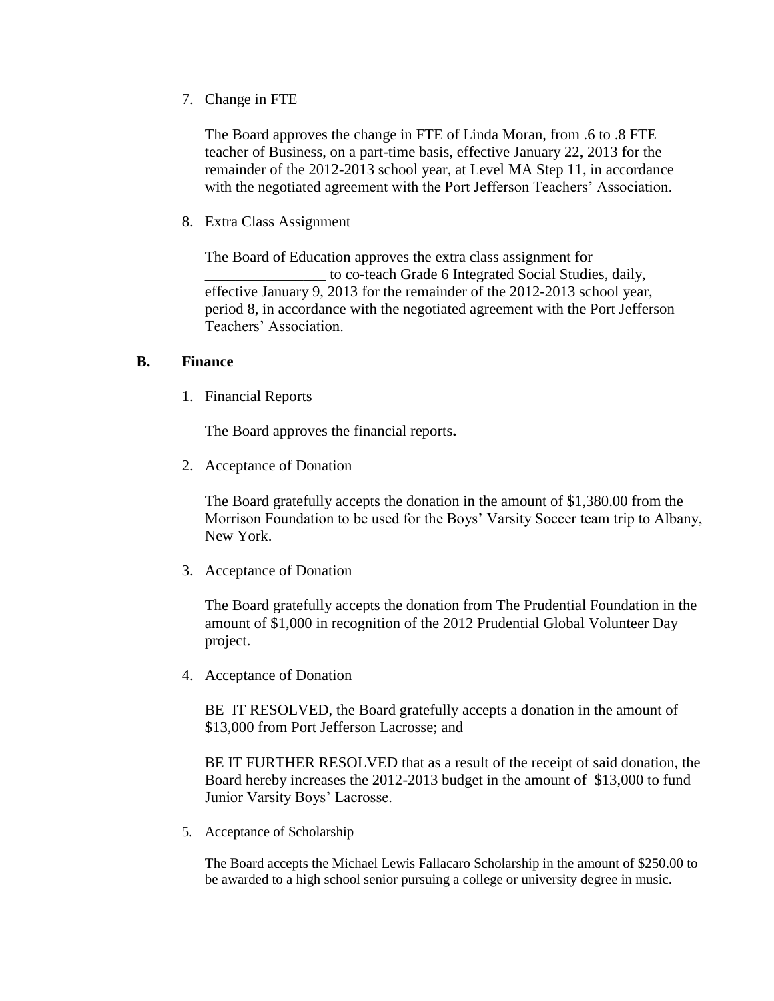7. Change in FTE

The Board approves the change in FTE of Linda Moran, from .6 to .8 FTE teacher of Business, on a part-time basis, effective January 22, 2013 for the remainder of the 2012-2013 school year, at Level MA Step 11, in accordance with the negotiated agreement with the Port Jefferson Teachers' Association.

8. Extra Class Assignment

The Board of Education approves the extra class assignment for \_\_\_\_\_\_\_\_\_\_\_\_\_\_\_\_ to co-teach Grade 6 Integrated Social Studies, daily, effective January 9, 2013 for the remainder of the 2012-2013 school year, period 8, in accordance with the negotiated agreement with the Port Jefferson Teachers' Association.

### **B. Finance**

1. Financial Reports

The Board approves the financial reports**.**

2. Acceptance of Donation

The Board gratefully accepts the donation in the amount of \$1,380.00 from the Morrison Foundation to be used for the Boys' Varsity Soccer team trip to Albany, New York.

3. Acceptance of Donation

The Board gratefully accepts the donation from The Prudential Foundation in the amount of \$1,000 in recognition of the 2012 Prudential Global Volunteer Day project.

4. Acceptance of Donation

BE IT RESOLVED, the Board gratefully accepts a donation in the amount of \$13,000 from Port Jefferson Lacrosse; and

BE IT FURTHER RESOLVED that as a result of the receipt of said donation, the Board hereby increases the 2012-2013 budget in the amount of \$13,000 to fund Junior Varsity Boys' Lacrosse.

5. Acceptance of Scholarship

The Board accepts the Michael Lewis Fallacaro Scholarship in the amount of \$250.00 to be awarded to a high school senior pursuing a college or university degree in music.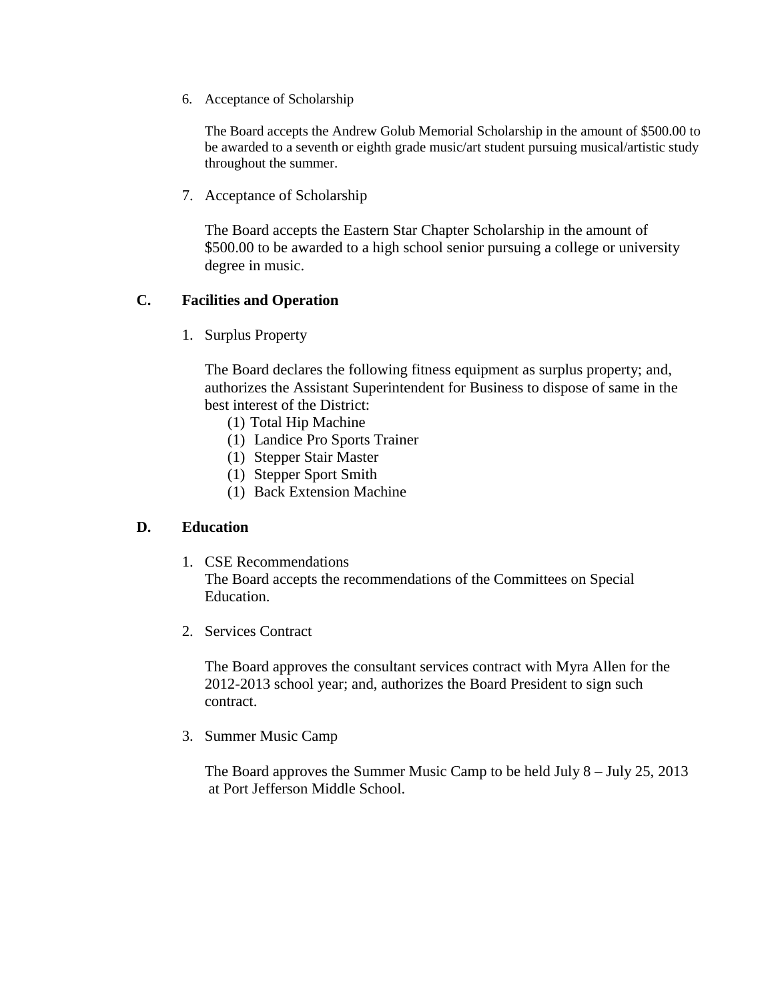6. Acceptance of Scholarship

The Board accepts the Andrew Golub Memorial Scholarship in the amount of \$500.00 to be awarded to a seventh or eighth grade music/art student pursuing musical/artistic study throughout the summer.

7. Acceptance of Scholarship

The Board accepts the Eastern Star Chapter Scholarship in the amount of \$500.00 to be awarded to a high school senior pursuing a college or university degree in music.

# **C. Facilities and Operation**

1. Surplus Property

The Board declares the following fitness equipment as surplus property; and, authorizes the Assistant Superintendent for Business to dispose of same in the best interest of the District:

- (1) Total Hip Machine
- (1) Landice Pro Sports Trainer
- (1) Stepper Stair Master
- (1) Stepper Sport Smith
- (1) Back Extension Machine

## **D. Education**

- 1. CSE Recommendations The Board accepts the recommendations of the Committees on Special Education.
- 2. Services Contract

The Board approves the consultant services contract with Myra Allen for the 2012-2013 school year; and, authorizes the Board President to sign such contract.

3. Summer Music Camp

The Board approves the Summer Music Camp to be held July 8 – July 25, 2013 at Port Jefferson Middle School.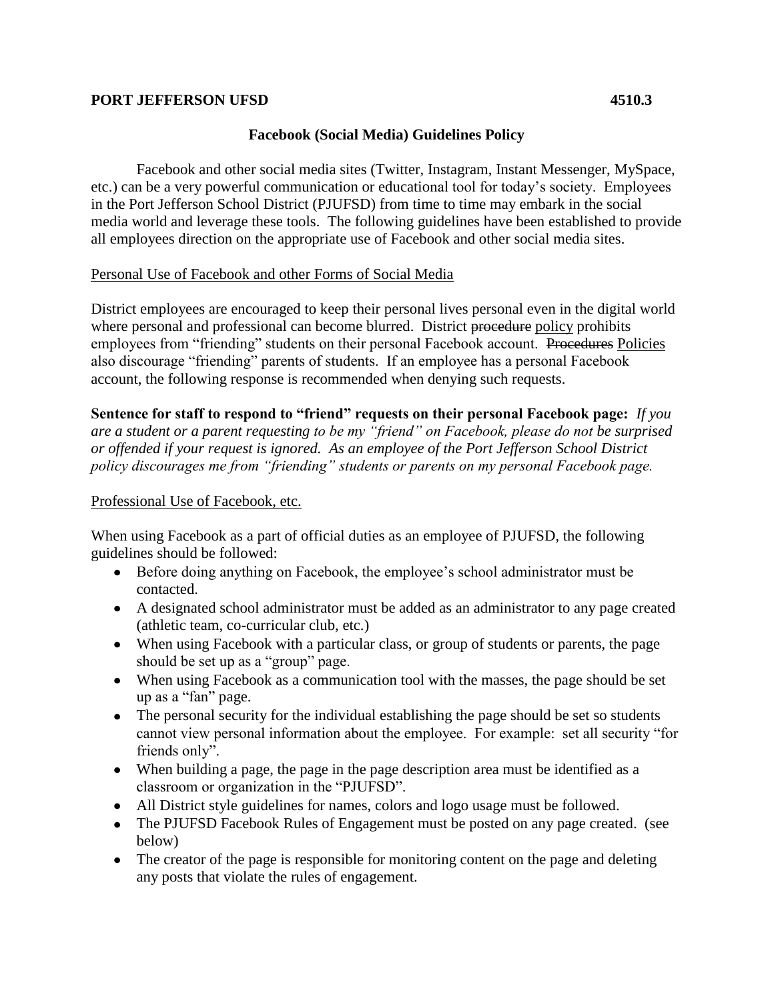## **PORT JEFFERSON UFSD 4510.3**

# **Facebook (Social Media) Guidelines Policy**

Facebook and other social media sites (Twitter, Instagram, Instant Messenger, MySpace, etc.) can be a very powerful communication or educational tool for today's society. Employees in the Port Jefferson School District (PJUFSD) from time to time may embark in the social media world and leverage these tools. The following guidelines have been established to provide all employees direction on the appropriate use of Facebook and other social media sites.

# Personal Use of Facebook and other Forms of Social Media

District employees are encouraged to keep their personal lives personal even in the digital world where personal and professional can become blurred. District procedure policy prohibits employees from "friending" students on their personal Facebook account. Procedures Policies also discourage "friending" parents of students. If an employee has a personal Facebook account, the following response is recommended when denying such requests.

**Sentence for staff to respond to "friend" requests on their personal Facebook page:** *If you are a student or a parent requesting to be my "friend" on Facebook, please do not be surprised or offended if your request is ignored. As an employee of the Port Jefferson School District policy discourages me from "friending" students or parents on my personal Facebook page.* 

## Professional Use of Facebook, etc.

When using Facebook as a part of official duties as an employee of PJUFSD, the following guidelines should be followed:

- Before doing anything on Facebook, the employee's school administrator must be contacted.
- A designated school administrator must be added as an administrator to any page created (athletic team, co-curricular club, etc.)
- When using Facebook with a particular class, or group of students or parents, the page should be set up as a "group" page.
- When using Facebook as a communication tool with the masses, the page should be set up as a "fan" page.
- The personal security for the individual establishing the page should be set so students cannot view personal information about the employee. For example: set all security "for friends only".
- When building a page, the page in the page description area must be identified as a classroom or organization in the "PJUFSD".
- All District style guidelines for names, colors and logo usage must be followed.
- The PJUFSD Facebook Rules of Engagement must be posted on any page created. (see below)
- The creator of the page is responsible for monitoring content on the page and deleting any posts that violate the rules of engagement.